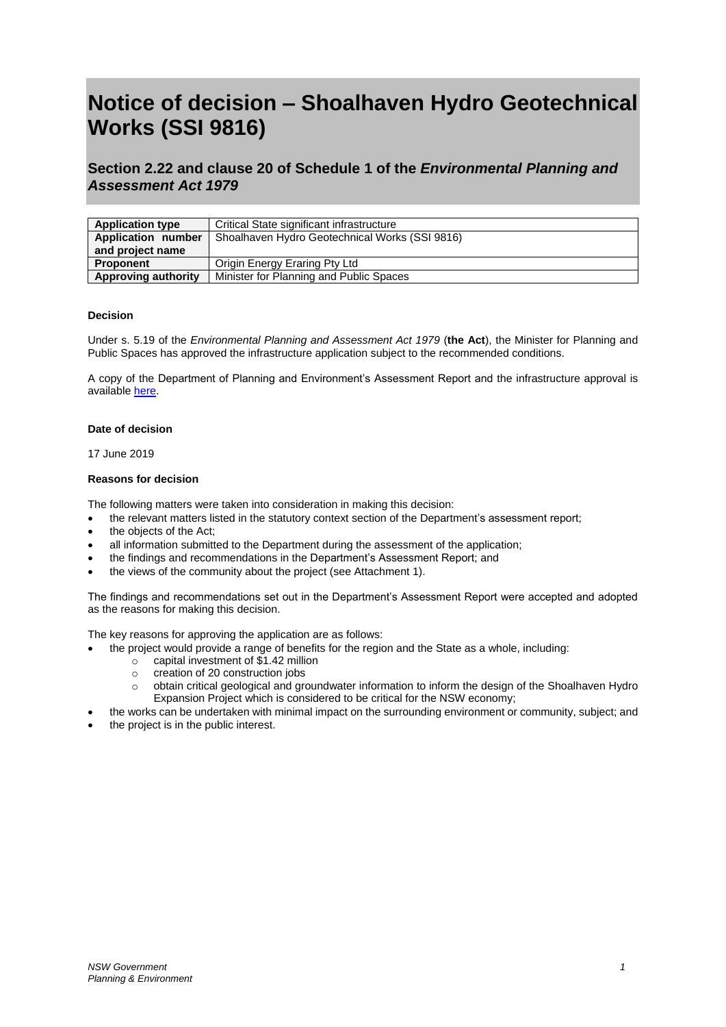# **Notice of decision – Shoalhaven Hydro Geotechnical Works (SSI 9816)**

# **Section 2.22 and clause 20 of Schedule 1 of the** *Environmental Planning and Assessment Act 1979*

| <b>Application type</b> | Critical State significant infrastructure      |
|-------------------------|------------------------------------------------|
| Application number      | Shoalhaven Hydro Geotechnical Works (SSI 9816) |
| and project name        |                                                |
| <b>Proponent</b>        | Origin Energy Eraring Pty Ltd                  |
| Approving authority     | Minister for Planning and Public Spaces        |

## **Decision**

Under s. 5.19 of the *Environmental Planning and Assessment Act 1979* (**the Act**), the Minister for Planning and Public Spaces has approved the infrastructure application subject to the recommended conditions.

A copy of the Department of Planning and Environment's Assessment Report and the infrastructure approval is available [here.](https://www.planningportal.nsw.gov.au/major-projects/project/11021)

## **Date of decision**

17 June 2019

## **Reasons for decision**

The following matters were taken into consideration in making this decision:

- the relevant matters listed in the statutory context section of the Department's assessment report;
- the objects of the Act:
- all information submitted to the Department during the assessment of the application;
- the findings and recommendations in the Department's Assessment Report; and
- the views of the community about the project (see Attachment 1).

The findings and recommendations set out in the Department's Assessment Report were accepted and adopted as the reasons for making this decision.

The key reasons for approving the application are as follows:

- the project would provide a range of benefits for the region and the State as a whole, including:
	- o capital investment of \$1.42 million
	- o creation of 20 construction jobs
	- o obtain critical geological and groundwater information to inform the design of the Shoalhaven Hydro Expansion Project which is considered to be critical for the NSW economy;
- the works can be undertaken with minimal impact on the surrounding environment or community, subject; and
- the project is in the public interest.